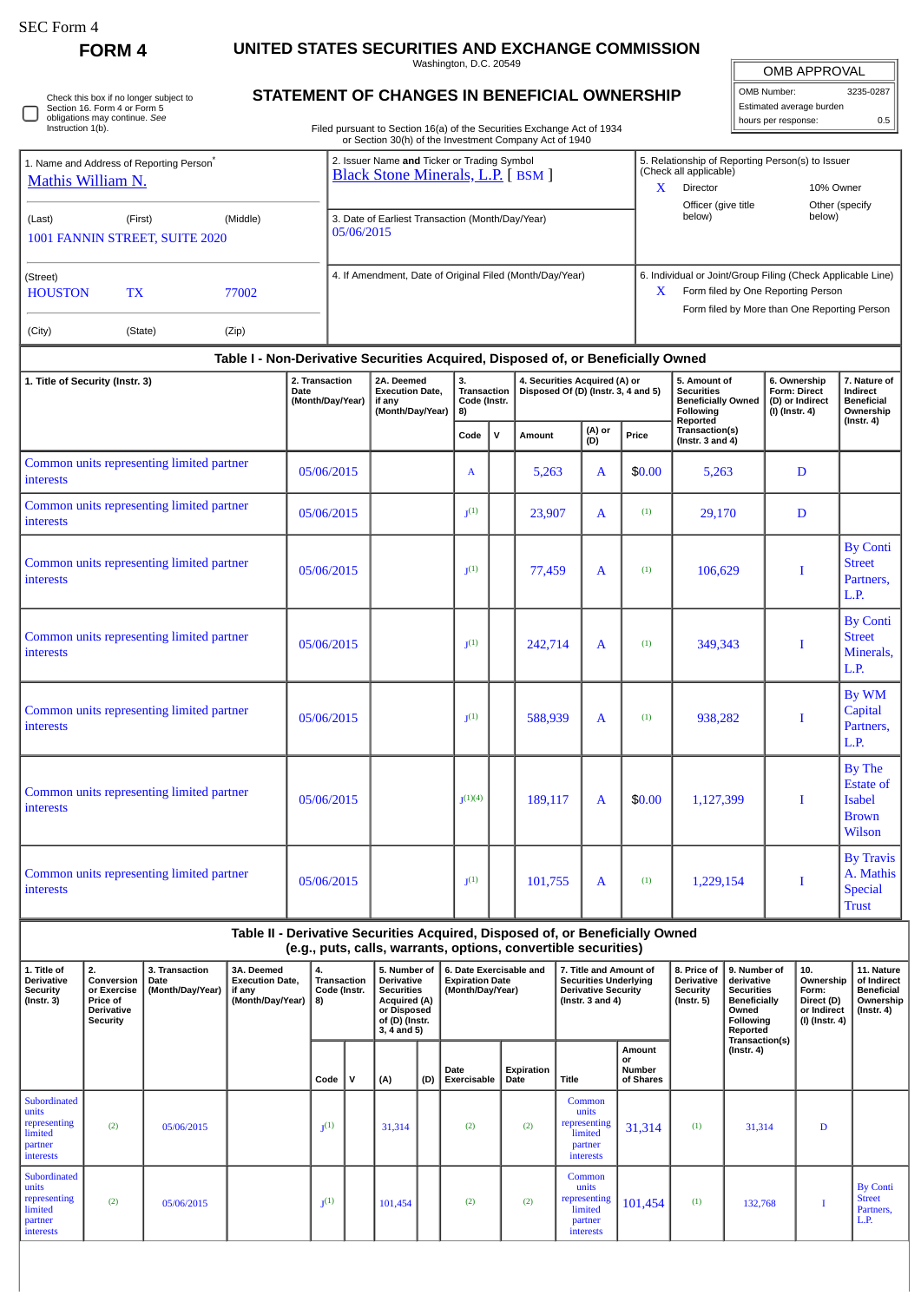$\Box$ 

Check this box if no longer subject to Section 16. Form 4 or Form 5 obligations may continue. *See* Instruction 1(b).

## **FORM 4 UNITED STATES SECURITIES AND EXCHANGE COMMISSION**

Washington, D.C. 20549 **STATEMENT OF CHANGES IN BENEFICIAL OWNERSHIP**

| <b>OMB APPROVAL</b>      |     |  |  |  |  |  |  |  |  |
|--------------------------|-----|--|--|--|--|--|--|--|--|
| OMB Number:<br>3235-0287 |     |  |  |  |  |  |  |  |  |
| Estimated average burden |     |  |  |  |  |  |  |  |  |
| hours per response:      | 0.5 |  |  |  |  |  |  |  |  |

| Filed pursuant to Section 16(a) of the Securities Exchange Act of 1934 |
|------------------------------------------------------------------------|
| or Section 30(h) of the Investment Company Act of 1940                 |

|                                                  | 1. Name and Address of Reporting Person <sup>®</sup> |          | 2. Issuer Name and Ticker or Trading Symbol<br><b>Black Stone Minerals, L.P.</b> [BSM ] |   | 5. Relationship of Reporting Person(s) to Issuer<br>(Check all applicable)                                                                        |                          |  |  |  |  |
|--------------------------------------------------|------------------------------------------------------|----------|-----------------------------------------------------------------------------------------|---|---------------------------------------------------------------------------------------------------------------------------------------------------|--------------------------|--|--|--|--|
| Mathis William N.                                |                                                      |          |                                                                                         | X | Director                                                                                                                                          | 10% Owner                |  |  |  |  |
| (Last)                                           | (First)<br>1001 FANNIN STREET, SUITE 2020            | (Middle) | 3. Date of Earliest Transaction (Month/Day/Year)<br>05/06/2015                          |   | Officer (give title<br>below)                                                                                                                     | Other (specify<br>below) |  |  |  |  |
| (Street)<br><b>HOUSTON</b><br><b>TX</b><br>77002 |                                                      |          | 4. If Amendment, Date of Original Filed (Month/Day/Year)                                | X | 6. Individual or Joint/Group Filing (Check Applicable Line)<br>Form filed by One Reporting Person<br>Form filed by More than One Reporting Person |                          |  |  |  |  |
| (City)                                           | (State)                                              | (Zip)    |                                                                                         |   |                                                                                                                                                   |                          |  |  |  |  |
|                                                  |                                                      |          | Table I - Non-Derivative Securities Acquired, Disposed of, or Beneficially Owned        |   |                                                                                                                                                   |                          |  |  |  |  |

| 1. Title of Security (Instr. 3)                               | 2. Transaction<br>2A. Deemed<br>3.<br>4. Securities Acquired (A) or<br>Disposed Of (D) (Instr. $3, 4$ and 5)<br><b>Execution Date,</b><br>Transaction<br>Date<br>(Month/Day/Year)<br>Code (Instr.<br>if any<br>(Month/Day/Year)<br>8) |  |                    |              | 5. Amount of<br><b>Securities</b><br><b>Beneficially Owned</b><br>Following<br>Reported | 6. Ownership<br>Form: Direct<br>(D) or Indirect<br>$(1)$ (Instr. 4) | 7. Nature of<br>Indirect<br><b>Beneficial</b><br>Ownership<br>$($ Instr. 4 $)$ |                                    |   |                                                                 |
|---------------------------------------------------------------|---------------------------------------------------------------------------------------------------------------------------------------------------------------------------------------------------------------------------------------|--|--------------------|--------------|-----------------------------------------------------------------------------------------|---------------------------------------------------------------------|--------------------------------------------------------------------------------|------------------------------------|---|-----------------------------------------------------------------|
|                                                               |                                                                                                                                                                                                                                       |  | Code               | $\mathsf{v}$ | Amount                                                                                  | (A) or<br>(D)                                                       | Price                                                                          | Transaction(s)<br>(Instr. 3 and 4) |   |                                                                 |
| Common units representing limited partner<br>interests        | 05/06/2015                                                                                                                                                                                                                            |  | $\mathbf{A}$       |              | 5,263                                                                                   | $\mathbf{A}$                                                        | \$0.00                                                                         | 5,263                              | D |                                                                 |
| Common units representing limited partner<br><b>interests</b> | 05/06/2015                                                                                                                                                                                                                            |  | J <sup>(1)</sup>   |              | 23,907                                                                                  | $\mathbf{A}$                                                        | (1)                                                                            | 29,170                             | D |                                                                 |
| Common units representing limited partner<br>interests        | 05/06/2015                                                                                                                                                                                                                            |  | $J^{(1)}$          |              | 77,459                                                                                  | $\mathbf{A}$                                                        | (1)                                                                            | 106,629                            | T | <b>By Conti</b><br><b>Street</b><br>Partners,<br>L.P.           |
| Common units representing limited partner<br>interests        | 05/06/2015                                                                                                                                                                                                                            |  | J <sup>(1)</sup>   |              | 242,714                                                                                 | $\mathbf{A}$                                                        | (1)                                                                            | 349,343                            | I | <b>By Conti</b><br><b>Street</b><br>Minerals,<br>L.P.           |
| Common units representing limited partner<br>interests        | 05/06/2015                                                                                                                                                                                                                            |  | I <sub>1</sub> (1) |              | 588,939                                                                                 | $\mathbf{A}$                                                        | (1)                                                                            | 938,282                            | T | By WM<br>Capital<br>Partners,<br>L.P.                           |
| Common units representing limited partner<br>interests        | 05/06/2015                                                                                                                                                                                                                            |  | I(1)(4)            |              | 189,117                                                                                 | A                                                                   | \$0.00                                                                         | 1,127,399                          | Т | By The<br><b>Estate of</b><br>Isabel<br><b>Brown</b><br>Wilson  |
| Common units representing limited partner<br>interests        | 05/06/2015                                                                                                                                                                                                                            |  | J <sub>1</sub> (1) |              | 101,755                                                                                 | A                                                                   | (1)                                                                            | 1,229,154                          | I | <b>By Travis</b><br>A. Mathis<br><b>Special</b><br><b>Trust</b> |

| Table II - Derivative Securities Acquired, Disposed of, or Beneficially Owned<br>(e.g., puts, calls, warrants, options, convertible securities) |                                            |                                                |                    |                                                                                                                              |                                    |                                                                       |                            |                                                                                                               |                                                                           |                                                                         |                                                                                                          |                                                                          |                                                                                 |                                                       |
|-------------------------------------------------------------------------------------------------------------------------------------------------|--------------------------------------------|------------------------------------------------|--------------------|------------------------------------------------------------------------------------------------------------------------------|------------------------------------|-----------------------------------------------------------------------|----------------------------|---------------------------------------------------------------------------------------------------------------|---------------------------------------------------------------------------|-------------------------------------------------------------------------|----------------------------------------------------------------------------------------------------------|--------------------------------------------------------------------------|---------------------------------------------------------------------------------|-------------------------------------------------------|
| 2.<br>Conversion<br>or Exercise<br>Price of<br><b>Derivative</b><br>Security                                                                    | 3. Transaction<br>Date<br>(Month/Day/Year) | 3A. Deemed<br><b>Execution Date.</b><br>if any | 4.<br>8)           | 5. Number of 1<br>Derivative<br><b>Securities</b><br><b>Acquired (A)</b><br>or Disposed<br>of (D) (Instr.<br>$3, 4$ and $5)$ |                                    | 6. Date Exercisable and<br><b>Expiration Date</b><br>(Month/Dav/Year) |                            | 7. Title and Amount of<br><b>Securities Underlying</b><br><b>Derivative Security</b><br>(Instr. $3$ and $4$ ) |                                                                           | 8. Price of<br><b>Derivative</b><br><b>Security</b><br>$($ lnstr. 5 $)$ | 9. Number of<br>derivative<br><b>Securities</b><br><b>Beneficially</b><br>Owned<br>Following<br>Reported | 10.<br>Ownership<br>Form:<br>Direct (D)<br>or Indirect<br>(I) (Instr. 4) | 11. Nature<br>of Indirect<br><b>Beneficial</b><br>Ownership<br>$($ Instr. 4 $)$ |                                                       |
|                                                                                                                                                 |                                            |                                                | Code               | v                                                                                                                            | (A)                                | (D)                                                                   | Date<br><b>Exercisable</b> | Date                                                                                                          | <b>Title</b>                                                              | Amount<br>or<br><b>Number</b><br>of Shares                              |                                                                                                          | $($ Instr. 4 $)$                                                         |                                                                                 |                                                       |
| (2)                                                                                                                                             | 05/06/2015                                 |                                                | $\mathbf{I}^{(1)}$ |                                                                                                                              | 31,314                             |                                                                       | (2)                        | (2)                                                                                                           | Common<br>units<br>representing<br>limited<br>partner<br><i>interests</i> | 31,314                                                                  | (1)                                                                                                      | 31,314                                                                   | D                                                                               |                                                       |
| (2)                                                                                                                                             | 05/06/2015                                 |                                                | $1(1)$             |                                                                                                                              | 101,454                            |                                                                       | (2)                        | (2)                                                                                                           | Common<br>units<br>representing<br>limited<br>partner<br>interests        | 101,454                                                                 | (1)                                                                                                      | 132,768                                                                  |                                                                                 | <b>By Conti</b><br><b>Street</b><br>Partners.<br>L.P. |
|                                                                                                                                                 |                                            |                                                |                    | (Month/Day/Year)                                                                                                             | <b>Transaction</b><br>Code (Instr. |                                                                       |                            |                                                                                                               | Expiration                                                                |                                                                         |                                                                                                          |                                                                          |                                                                                 | Transaction(s)                                        |